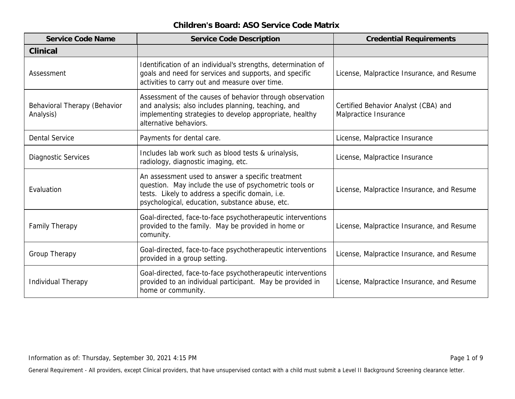| Service Code Name                         | Service Code Description                                                                                                                                                                                           | <b>Credential Requirements</b>                                |
|-------------------------------------------|--------------------------------------------------------------------------------------------------------------------------------------------------------------------------------------------------------------------|---------------------------------------------------------------|
| Clinical                                  |                                                                                                                                                                                                                    |                                                               |
| Assessment                                | Identification of an individual's strengths, determination of<br>goals and need for services and supports, and specific<br>activities to carry out and measure over time.                                          | License, Malpractice Insurance, and Resume                    |
| Behavioral Therapy (Behavior<br>Analysis) | Assessment of the causes of behavior through observation<br>and analysis; also includes planning, teaching, and<br>implementing strategies to develop appropriate, healthy<br>alternative behaviors.               | Certified Behavior Analyst (CBA) and<br>Malpractice Insurance |
| <b>Dental Service</b>                     | Payments for dental care.                                                                                                                                                                                          | License, Malpractice Insurance                                |
| <b>Diagnostic Services</b>                | Includes lab work such as blood tests & urinalysis,<br>radiology, diagnostic imaging, etc.                                                                                                                         | License, Malpractice Insurance                                |
| Evaluation                                | An assessment used to answer a specific treatment<br>question. May include the use of psychometric tools or<br>tests. Likely to address a specific domain, i.e.<br>psychological, education, substance abuse, etc. | License, Malpractice Insurance, and Resume                    |
| Family Therapy                            | Goal-directed, face-to-face psychotherapeutic interventions<br>provided to the family. May be provided in home or<br>comunity.                                                                                     | License, Malpractice Insurance, and Resume                    |
| Group Therapy                             | Goal-directed, face-to-face psychotherapeutic interventions<br>provided in a group setting.                                                                                                                        | License, Malpractice Insurance, and Resume                    |
| Individual Therapy                        | Goal-directed, face-to-face psychotherapeutic interventions<br>provided to an individual participant. May be provided in<br>home or community.                                                                     | License, Malpractice Insurance, and Resume                    |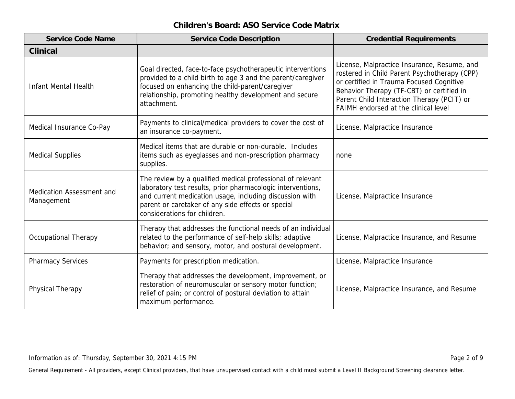| Service Code Name                       | Service Code Description                                                                                                                                                                                                                                                   | <b>Credential Requirements</b>                                                                                                                                                                                                                                             |
|-----------------------------------------|----------------------------------------------------------------------------------------------------------------------------------------------------------------------------------------------------------------------------------------------------------------------------|----------------------------------------------------------------------------------------------------------------------------------------------------------------------------------------------------------------------------------------------------------------------------|
| Clinical                                |                                                                                                                                                                                                                                                                            |                                                                                                                                                                                                                                                                            |
| <b>Infant Mental Health</b>             | Goal directed, face-to-face psychotherapeutic interventions<br>provided to a child birth to age 3 and the parent/caregiver<br>focused on enhancing the child-parent/caregiver<br>relationship, promoting healthy development and secure<br>attachment.                     | License, Malpractice Insurance, Resume, and<br>rostered in Child Parent Psychotherapy (CPP)<br>or certified in Trauma Focused Cognitive<br>Behavior Therapy (TF-CBT) or certified in<br>Parent Child Interaction Therapy (PCIT) or<br>FAIMH endorsed at the clinical level |
| Medical Insurance Co-Pay                | Payments to clinical/medical providers to cover the cost of<br>an insurance co-payment.                                                                                                                                                                                    | License, Malpractice Insurance                                                                                                                                                                                                                                             |
| <b>Medical Supplies</b>                 | Medical items that are durable or non-durable. Includes<br>items such as eyeglasses and non-prescription pharmacy<br>supplies.                                                                                                                                             | none                                                                                                                                                                                                                                                                       |
| Medication Assessment and<br>Management | The review by a qualified medical professional of relevant<br>laboratory test results, prior pharmacologic interventions,<br>and current medication usage, including discussion with<br>parent or caretaker of any side effects or special<br>considerations for children. | License, Malpractice Insurance                                                                                                                                                                                                                                             |
| <b>Occupational Therapy</b>             | Therapy that addresses the functional needs of an individual<br>related to the performance of self-help skills; adaptive<br>behavior; and sensory, motor, and postural development.                                                                                        | License, Malpractice Insurance, and Resume                                                                                                                                                                                                                                 |
| <b>Pharmacy Services</b>                | Payments for prescription medication.                                                                                                                                                                                                                                      | License, Malpractice Insurance                                                                                                                                                                                                                                             |
| Physical Therapy                        | Therapy that addresses the development, improvement, or<br>restoration of neuromuscular or sensory motor function;<br>relief of pain; or control of postural deviation to attain<br>maximum performance.                                                                   | License, Malpractice Insurance, and Resume                                                                                                                                                                                                                                 |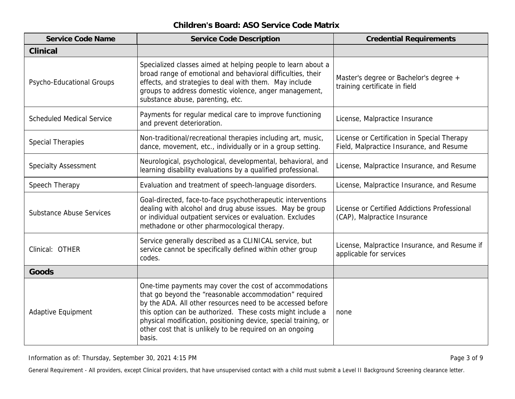| Service Code Name                | Service Code Description                                                                                                                                                                                                                                                                                                                                                              | <b>Credential Requirements</b>                                                          |
|----------------------------------|---------------------------------------------------------------------------------------------------------------------------------------------------------------------------------------------------------------------------------------------------------------------------------------------------------------------------------------------------------------------------------------|-----------------------------------------------------------------------------------------|
| Clinical                         |                                                                                                                                                                                                                                                                                                                                                                                       |                                                                                         |
| Psycho-Educational Groups        | Specialized classes aimed at helping people to learn about a<br>broad range of emotional and behavioral difficulties, their<br>effects, and strategies to deal with them. May include<br>groups to address domestic violence, anger management,<br>substance abuse, parenting, etc.                                                                                                   | Master's degree or Bachelor's degree +<br>training certificate in field                 |
| <b>Scheduled Medical Service</b> | Payments for regular medical care to improve functioning<br>and prevent deterioration.                                                                                                                                                                                                                                                                                                | License, Malpractice Insurance                                                          |
| <b>Special Therapies</b>         | Non-traditional/recreational therapies including art, music,<br>dance, movement, etc., individually or in a group setting.                                                                                                                                                                                                                                                            | License or Certification in Special Therapy<br>Field, Malpractice Insurance, and Resume |
| <b>Specialty Assessment</b>      | Neurological, psychological, developmental, behavioral, and<br>learning disability evaluations by a qualified professional.                                                                                                                                                                                                                                                           | License, Malpractice Insurance, and Resume                                              |
| Speech Therapy                   | Evaluation and treatment of speech-language disorders.                                                                                                                                                                                                                                                                                                                                | License, Malpractice Insurance, and Resume                                              |
| <b>Substance Abuse Services</b>  | Goal-directed, face-to-face psychotherapeutic interventions<br>dealing with alcohol and drug abuse issues. May be group<br>or individual outpatient services or evaluation. Excludes<br>methadone or other pharmocological therapy.                                                                                                                                                   | License or Certified Addictions Professional<br>(CAP), Malpractice Insurance            |
| Clinical: OTHER                  | Service generally described as a CLINICAL service, but<br>service cannot be specifically defined within other group<br>codes.                                                                                                                                                                                                                                                         | License, Malpractice Insurance, and Resume if<br>applicable for services                |
| Goods                            |                                                                                                                                                                                                                                                                                                                                                                                       |                                                                                         |
| Adaptive Equipment               | One-time payments may cover the cost of accommodations<br>that go beyond the "reasonable accommodation" required<br>by the ADA. All other resources need to be accessed before<br>this option can be authorized. These costs might include a<br>physical modification, positioning device, special training, or<br>other cost that is unlikely to be required on an ongoing<br>basis. | none                                                                                    |

Information as of: Thursday, September 30, 2021 4:15 PM Page 3 of 9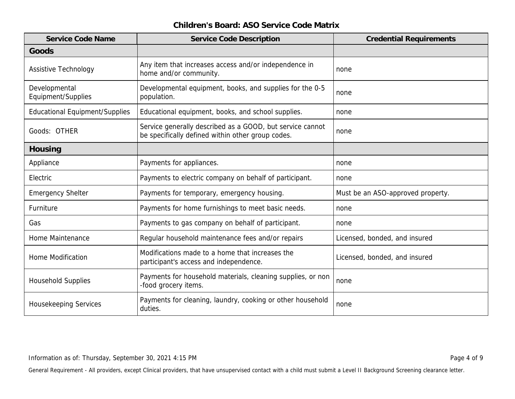| Service Code Name                     | Service Code Description                                                                                       | <b>Credential Requirements</b>    |
|---------------------------------------|----------------------------------------------------------------------------------------------------------------|-----------------------------------|
| Goods                                 |                                                                                                                |                                   |
| Assistive Technology                  | Any item that increases access and/or independence in<br>home and/or community.                                | none                              |
| Developmental<br>Equipment/Supplies   | Developmental equipment, books, and supplies for the 0-5<br>population.                                        | none                              |
| <b>Educational Equipment/Supplies</b> | Educational equipment, books, and school supplies.                                                             | none                              |
| Goods: OTHER                          | Service generally described as a GOOD, but service cannot<br>be specifically defined within other group codes. | none                              |
| Housing                               |                                                                                                                |                                   |
| Appliance                             | Payments for appliances.                                                                                       | none                              |
| Electric                              | Payments to electric company on behalf of participant.                                                         | none                              |
| <b>Emergency Shelter</b>              | Payments for temporary, emergency housing.                                                                     | Must be an ASO-approved property. |
| Furniture                             | Payments for home furnishings to meet basic needs.                                                             | none                              |
| Gas                                   | Payments to gas company on behalf of participant.                                                              | none                              |
| Home Maintenance                      | Regular household maintenance fees and/or repairs                                                              | Licensed, bonded, and insured     |
| <b>Home Modification</b>              | Modifications made to a home that increases the<br>participant's access and independence.                      | Licensed, bonded, and insured     |
| <b>Household Supplies</b>             | Payments for household materials, cleaning supplies, or non<br>-food grocery items.                            | none                              |
| Housekeeping Services                 | Payments for cleaning, laundry, cooking or other household<br>duties.                                          | none                              |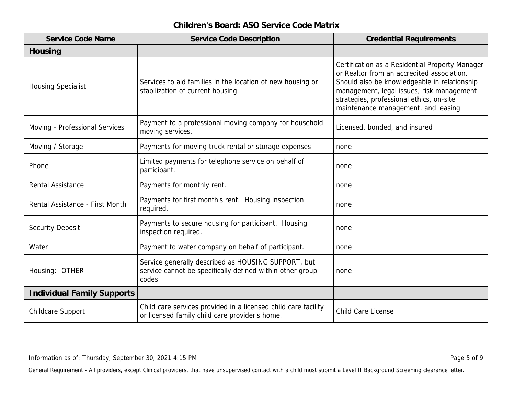| Service Code Name                 | Service Code Description                                                                                                   | <b>Credential Requirements</b>                                                                                                                                                                                                                                                |
|-----------------------------------|----------------------------------------------------------------------------------------------------------------------------|-------------------------------------------------------------------------------------------------------------------------------------------------------------------------------------------------------------------------------------------------------------------------------|
| Housing                           |                                                                                                                            |                                                                                                                                                                                                                                                                               |
| <b>Housing Specialist</b>         | Services to aid families in the location of new housing or<br>stabilization of current housing.                            | Certification as a Residential Property Manager<br>or Realtor from an accredited association.<br>Should also be knowledgeable in relationship<br>management, legal issues, risk management<br>strategies, professional ethics, on-site<br>maintenance management, and leasing |
| Moving - Professional Services    | Payment to a professional moving company for household<br>moving services.                                                 | Licensed, bonded, and insured                                                                                                                                                                                                                                                 |
| Moving / Storage                  | Payments for moving truck rental or storage expenses                                                                       | none                                                                                                                                                                                                                                                                          |
| Phone                             | Limited payments for telephone service on behalf of<br>participant.                                                        | none                                                                                                                                                                                                                                                                          |
| Rental Assistance                 | Payments for monthly rent.                                                                                                 | none                                                                                                                                                                                                                                                                          |
| Rental Assistance - First Month   | Payments for first month's rent. Housing inspection<br>required.                                                           | none                                                                                                                                                                                                                                                                          |
| <b>Security Deposit</b>           | Payments to secure housing for participant. Housing<br>inspection required.                                                | none                                                                                                                                                                                                                                                                          |
| Water                             | Payment to water company on behalf of participant.                                                                         | none                                                                                                                                                                                                                                                                          |
| Housing: OTHER                    | Service generally described as HOUSING SUPPORT, but<br>service cannot be specifically defined within other group<br>codes. | none                                                                                                                                                                                                                                                                          |
| <b>Individual Family Supports</b> |                                                                                                                            |                                                                                                                                                                                                                                                                               |
| <b>Childcare Support</b>          | Child care services provided in a licensed child care facility<br>or licensed family child care provider's home.           | Child Care License                                                                                                                                                                                                                                                            |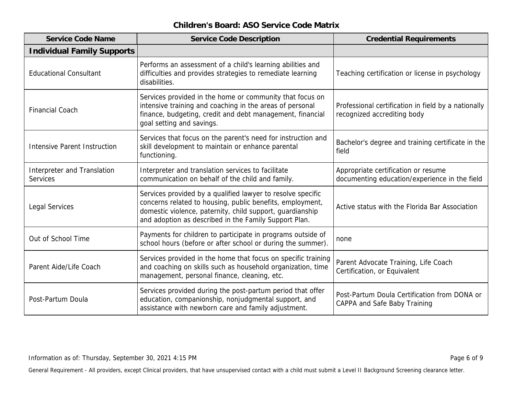| Service Code Name                       | Service Code Description                                                                                                                                                                                                                       | <b>Credential Requirements</b>                                                       |
|-----------------------------------------|------------------------------------------------------------------------------------------------------------------------------------------------------------------------------------------------------------------------------------------------|--------------------------------------------------------------------------------------|
| <b>Individual Family Supports</b>       |                                                                                                                                                                                                                                                |                                                                                      |
| <b>Educational Consultant</b>           | Performs an assessment of a child's learning abilities and<br>difficulties and provides strategies to remediate learning<br>disabilities.                                                                                                      | Teaching certification or license in psychology                                      |
| <b>Financial Coach</b>                  | Services provided in the home or community that focus on<br>intensive training and coaching in the areas of personal<br>finance, budgeting, credit and debt management, financial<br>goal setting and savings.                                 | Professional certification in field by a nationally<br>recognized accrediting body   |
| Intensive Parent Instruction            | Services that focus on the parent's need for instruction and<br>skill development to maintain or enhance parental<br>functioning.                                                                                                              | Bachelor's degree and training certificate in the<br>field                           |
| Interpreter and Translation<br>Services | Interpreter and translation services to facilitate<br>communication on behalf of the child and family.                                                                                                                                         | Appropriate certification or resume<br>documenting education/experience in the field |
| Legal Services                          | Services provided by a qualified lawyer to resolve specific<br>concerns related to housing, public benefits, employment,<br>domestic violence, paternity, child support, guardianship<br>and adoption as described in the Family Support Plan. | Active status with the Florida Bar Association                                       |
| Out of School Time                      | Payments for children to participate in programs outside of<br>school hours (before or after school or during the summer).                                                                                                                     | none                                                                                 |
| Parent Aide/Life Coach                  | Services provided in the home that focus on specific training<br>and coaching on skills such as household organization, time<br>management, personal finance, cleaning, etc.                                                                   | Parent Advocate Training, Life Coach<br>Certification, or Equivalent                 |
| Post-Partum Doula                       | Services provided during the post-partum period that offer<br>education, companionship, nonjudgmental support, and<br>assistance with newborn care and family adjustment.                                                                      | Post-Partum Doula Certification from DONA or<br>CAPPA and Safe Baby Training         |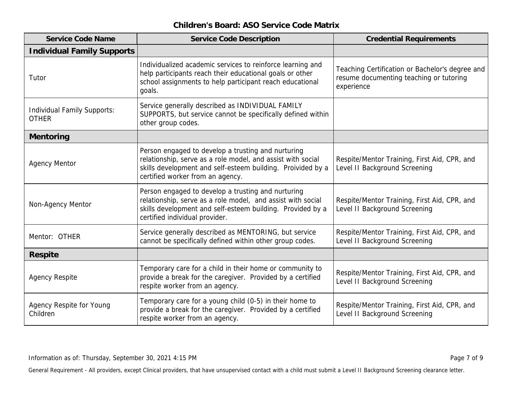| Service Code Name                           | Service Code Description                                                                                                                                                                                             | <b>Credential Requirements</b>                                                                           |
|---------------------------------------------|----------------------------------------------------------------------------------------------------------------------------------------------------------------------------------------------------------------------|----------------------------------------------------------------------------------------------------------|
| <b>Individual Family Supports</b>           |                                                                                                                                                                                                                      |                                                                                                          |
| Tutor                                       | Individualized academic services to reinforce learning and<br>help participants reach their educational goals or other<br>school assignments to help participant reach educational<br>goals.                         | Teaching Certification or Bachelor's degree and<br>resume documenting teaching or tutoring<br>experience |
| Individual Family Supports:<br><b>OTHER</b> | Service generally described as INDIVIDUAL FAMILY<br>SUPPORTS, but service cannot be specifically defined within<br>other group codes.                                                                                |                                                                                                          |
| Mentoring                                   |                                                                                                                                                                                                                      |                                                                                                          |
| <b>Agency Mentor</b>                        | Person engaged to develop a trusting and nurturing<br>relationship, serve as a role model, and assist with social<br>skills development and self-esteem building. Proivided by a<br>certified worker from an agency. | Respite/Mentor Training, First Aid, CPR, and<br>Level II Background Screening                            |
| Non-Agency Mentor                           | Person engaged to develop a trusting and nurturing<br>relationship, serve as a role model, and assist with social<br>skills development and self-esteem building. Provided by a<br>certified individual provider.    | Respite/Mentor Training, First Aid, CPR, and<br>Level II Background Screening                            |
| Mentor: OTHER                               | Service generally described as MENTORING, but service<br>cannot be specifically defined within other group codes.                                                                                                    | Respite/Mentor Training, First Aid, CPR, and<br>Level II Background Screening                            |
| Respite                                     |                                                                                                                                                                                                                      |                                                                                                          |
| <b>Agency Respite</b>                       | Temporary care for a child in their home or community to<br>provide a break for the caregiver. Provided by a certified<br>respite worker from an agency.                                                             | Respite/Mentor Training, First Aid, CPR, and<br>Level II Background Screening                            |
| Agency Respite for Young<br>Children        | Temporary care for a young child (0-5) in their home to<br>provide a break for the caregiver. Provided by a certified<br>respite worker from an agency.                                                              | Respite/Mentor Training, First Aid, CPR, and<br>Level II Background Screening                            |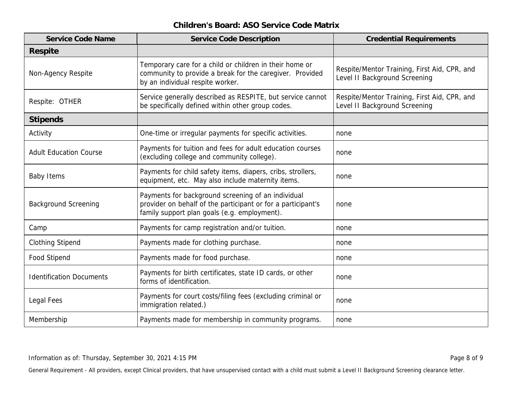| Service Code Name               | Service Code Description                                                                                                                                           | <b>Credential Requirements</b>                                                |
|---------------------------------|--------------------------------------------------------------------------------------------------------------------------------------------------------------------|-------------------------------------------------------------------------------|
| Respite                         |                                                                                                                                                                    |                                                                               |
| Non-Agency Respite              | Temporary care for a child or children in their home or<br>community to provide a break for the caregiver. Provided<br>by an individual respite worker.            | Respite/Mentor Training, First Aid, CPR, and<br>Level II Background Screening |
| Respite: OTHER                  | Service generally described as RESPITE, but service cannot<br>be specifically defined within other group codes.                                                    | Respite/Mentor Training, First Aid, CPR, and<br>Level II Background Screening |
| <b>Stipends</b>                 |                                                                                                                                                                    |                                                                               |
| Activity                        | One-time or irregular payments for specific activities.                                                                                                            | none                                                                          |
| <b>Adult Education Course</b>   | Payments for tuition and fees for adult education courses<br>(excluding college and community college).                                                            | none                                                                          |
| <b>Baby Items</b>               | Payments for child safety items, diapers, cribs, strollers,<br>equipment, etc. May also include maternity items.                                                   | none                                                                          |
| <b>Background Screening</b>     | Payments for background screening of an individual<br>provider on behalf of the participant or for a participant's<br>family support plan goals (e.g. employment). | none                                                                          |
| Camp                            | Payments for camp registration and/or tuition.                                                                                                                     | none                                                                          |
| <b>Clothing Stipend</b>         | Payments made for clothing purchase.                                                                                                                               | none                                                                          |
| Food Stipend                    | Payments made for food purchase.                                                                                                                                   | none                                                                          |
| <b>Identification Documents</b> | Payments for birth certificates, state ID cards, or other<br>forms of identification.                                                                              | none                                                                          |
| Legal Fees                      | Payments for court costs/filing fees (excluding criminal or<br>immigration related.)                                                                               | none                                                                          |
| Membership                      | Payments made for membership in community programs.                                                                                                                | none                                                                          |